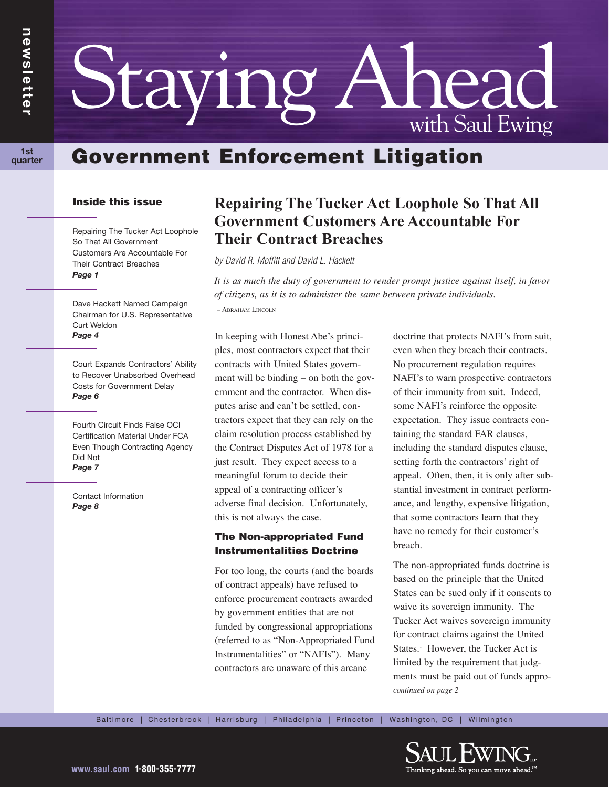**1st** 

# Staying Ahead with Saul Ewing

# **Government Enforcement Litigation**

## **Inside this issue**

Repairing The Tucker Act Loophole So That All Government Customers Are Accountable For Their Contract Breaches *Page 1*

Dave Hackett Named Campaign Chairman for U.S. Representative Curt Weldon *Page 4*

Court Expands Contractors' Ability to Recover Unabsorbed Overhead Costs for Government Delay *Page 6*

Fourth Circuit Finds False OCI Certification Material Under FCA Even Though Contracting Agency Did Not *Page 7*

Contact Information *Page 8*

# **Repairing The Tucker Act Loophole So That All Government Customers Are Accountable For Their Contract Breaches**

by David R. Moffitt and David L. Hackett

*It is as much the duty of government to render prompt justice against itself, in favor of citizens, as it is to administer the same between private individuals.* – ABRAHAM LINCOLN

In keeping with Honest Abe's principles, most contractors expect that their contracts with United States government will be binding – on both the government and the contractor. When disputes arise and can't be settled, contractors expect that they can rely on the claim resolution process established by the Contract Disputes Act of 1978 for a just result. They expect access to a meaningful forum to decide their appeal of a contracting officer's adverse final decision. Unfortunately, this is not always the case.

## **The Non-appropriated Fund Instrumentalities Doctrine**

For too long, the courts (and the boards of contract appeals) have refused to enforce procurement contracts awarded by government entities that are not funded by congressional appropriations (referred to as "Non-Appropriated Fund Instrumentalities" or "NAFIs"). Many contractors are unaware of this arcane

doctrine that protects NAFI's from suit, even when they breach their contracts. No procurement regulation requires NAFI's to warn prospective contractors of their immunity from suit. Indeed, some NAFI's reinforce the opposite expectation. They issue contracts containing the standard FAR clauses, including the standard disputes clause, setting forth the contractors' right of appeal. Often, then, it is only after substantial investment in contract performance, and lengthy, expensive litigation, that some contractors learn that they have no remedy for their customer's breach.

The non-appropriated funds doctrine is based on the principle that the United States can be sued only if it consents to waive its sovereign immunity. The Tucker Act waives sovereign immunity for contract claims against the United States.<sup>1</sup> However, the Tucker Act is limited by the requirement that judgments must be paid out of funds appro*continued on page 2*

Baltimore | Chesterbrook | Harrisburg | Philadelphia | Princeton | Washington, DC | Wilmington

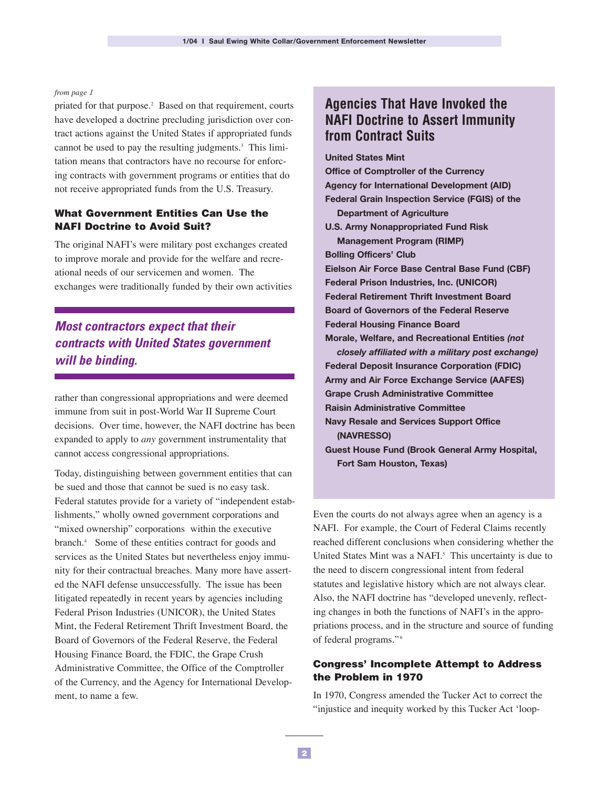#### *from page 1*

priated for that purpose.<sup>2</sup> Based on that requirement, courts have developed a doctrine precluding jurisdiction over contract actions against the United States if appropriated funds cannot be used to pay the resulting judgments.<sup>3</sup> This limitation means that contractors have no recourse for enforcing contracts with government programs or entities that do not receive appropriated funds from the U.S. Treasury.

## **What Government Entities Can Use the NAFI Doctrine to Avoid Suit?**

The original NAFI's were military post exchanges created to improve morale and provide for the welfare and recreational needs of our servicemen and women. The exchanges were traditionally funded by their own activities

# **Most contractors expect that their contracts with United States government will be binding.**

rather than congressional appropriations and were deemed immune from suit in post-World War II Supreme Court decisions. Over time, however, the NAFI doctrine has been expanded to apply to *any* government instrumentality that cannot access congressional appropriations.

Today, distinguishing between government entities that can be sued and those that cannot be sued is no easy task. Federal statutes provide for a variety of "independent establishments," wholly owned government corporations and "mixed ownership" corporations within the executive branch.4 Some of these entities contract for goods and services as the United States but nevertheless enjoy immunity for their contractual breaches. Many more have asserted the NAFI defense unsuccessfully. The issue has been litigated repeatedly in recent years by agencies including Federal Prison Industries (UNICOR), the United States Mint, the Federal Retirement Thrift Investment Board, the Board of Governors of the Federal Reserve, the Federal Housing Finance Board, the FDIC, the Grape Crush Administrative Committee, the Office of the Comptroller of the Currency, and the Agency for International Development, to name a few.

# **Agencies That Have Invoked the NAFI Doctrine to Assert Immunity from Contract Suits**

**United States Mint**

**Office of Comptroller of the Currency Agency for International Development (AID) Federal Grain Inspection Service (FGIS) of the Department of Agriculture U.S. Army Nonappropriated Fund Risk Management Program (RIMP) Bolling Officers' Club Eielson Air Force Base Central Base Fund (CBF) Federal Prison Industries, Inc. (UNICOR) Federal Retirement Thrift Investment Board Board of Governors of the Federal Reserve Federal Housing Finance Board Morale, Welfare, and Recreational Entities** *(not closely affiliated with a military post exchange)* **Federal Deposit Insurance Corporation (FDIC) Army and Air Force Exchange Service (AAFES) Grape Crush Administrative Committee Raisin Administrative Committee Navy Resale and Services Support Office (NAVRESSO) Guest House Fund (Brook General Army Hospital, Fort Sam Houston, Texas)**

Even the courts do not always agree when an agency is a NAFI. For example, the Court of Federal Claims recently reached different conclusions when considering whether the United States Mint was a NAFI.<sup>5</sup> This uncertainty is due to the need to discern congressional intent from federal statutes and legislative history which are not always clear. Also, the NAFI doctrine has "developed unevenly, reflecting changes in both the functions of NAFI's in the appropriations process, and in the structure and source of funding of federal programs." <sup>6</sup>

## **Congress' Incomplete Attempt to Address the Problem in 1970**

In 1970, Congress amended the Tucker Act to correct the "injustice and inequity worked by this Tucker Act 'loop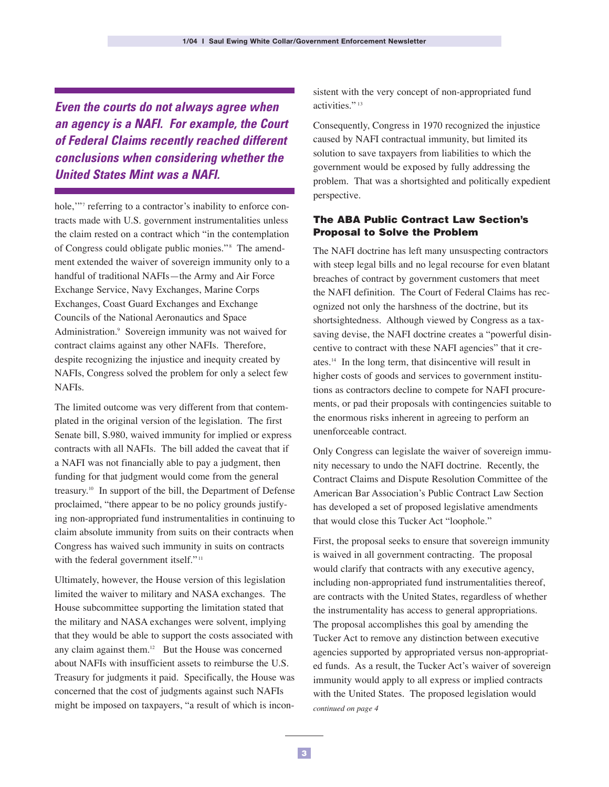**Even the courts do not always agree when an agency is a NAFI. For example, the Court of Federal Claims recently reached different conclusions when considering whether the United States Mint was a NAFI.**

hole,"<sup>7</sup> referring to a contractor's inability to enforce contracts made with U.S. government instrumentalities unless the claim rested on a contract which "in the contemplation of Congress could obligate public monies."<sup>8</sup> The amendment extended the waiver of sovereign immunity only to a handful of traditional NAFIs—the Army and Air Force Exchange Service, Navy Exchanges, Marine Corps Exchanges, Coast Guard Exchanges and Exchange Councils of the National Aeronautics and Space Administration.<sup>9</sup> Sovereign immunity was not waived for contract claims against any other NAFIs. Therefore, despite recognizing the injustice and inequity created by NAFIs, Congress solved the problem for only a select few NAFIs.

The limited outcome was very different from that contemplated in the original version of the legislation. The first Senate bill, S.980, waived immunity for implied or express contracts with all NAFIs. The bill added the caveat that if a NAFI was not financially able to pay a judgment, then funding for that judgment would come from the general treasury.10 In support of the bill, the Department of Defense proclaimed, "there appear to be no policy grounds justifying non-appropriated fund instrumentalities in continuing to claim absolute immunity from suits on their contracts when Congress has waived such immunity in suits on contracts with the federal government itself."<sup>11</sup>

Ultimately, however, the House version of this legislation limited the waiver to military and NASA exchanges. The House subcommittee supporting the limitation stated that the military and NASA exchanges were solvent, implying that they would be able to support the costs associated with any claim against them.<sup>12</sup> But the House was concerned about NAFIs with insufficient assets to reimburse the U.S. Treasury for judgments it paid. Specifically, the House was concerned that the cost of judgments against such NAFIs might be imposed on taxpayers, "a result of which is inconsistent with the very concept of non-appropriated fund activities." <sup>13</sup>

Consequently, Congress in 1970 recognized the injustice caused by NAFI contractual immunity, but limited its solution to save taxpayers from liabilities to which the government would be exposed by fully addressing the problem. That was a shortsighted and politically expedient perspective.

## **The ABA Public Contract Law Section's Proposal to Solve the Problem**

The NAFI doctrine has left many unsuspecting contractors with steep legal bills and no legal recourse for even blatant breaches of contract by government customers that meet the NAFI definition. The Court of Federal Claims has recognized not only the harshness of the doctrine, but its shortsightedness. Although viewed by Congress as a taxsaving devise, the NAFI doctrine creates a "powerful disincentive to contract with these NAFI agencies" that it creates.14 In the long term, that disincentive will result in higher costs of goods and services to government institutions as contractors decline to compete for NAFI procurements, or pad their proposals with contingencies suitable to the enormous risks inherent in agreeing to perform an unenforceable contract.

Only Congress can legislate the waiver of sovereign immunity necessary to undo the NAFI doctrine. Recently, the Contract Claims and Dispute Resolution Committee of the American Bar Association's Public Contract Law Section has developed a set of proposed legislative amendments that would close this Tucker Act "loophole."

First, the proposal seeks to ensure that sovereign immunity is waived in all government contracting. The proposal would clarify that contracts with any executive agency, including non-appropriated fund instrumentalities thereof, are contracts with the United States, regardless of whether the instrumentality has access to general appropriations. The proposal accomplishes this goal by amending the Tucker Act to remove any distinction between executive agencies supported by appropriated versus non-appropriated funds. As a result, the Tucker Act's waiver of sovereign immunity would apply to all express or implied contracts with the United States. The proposed legislation would *continued on page 4*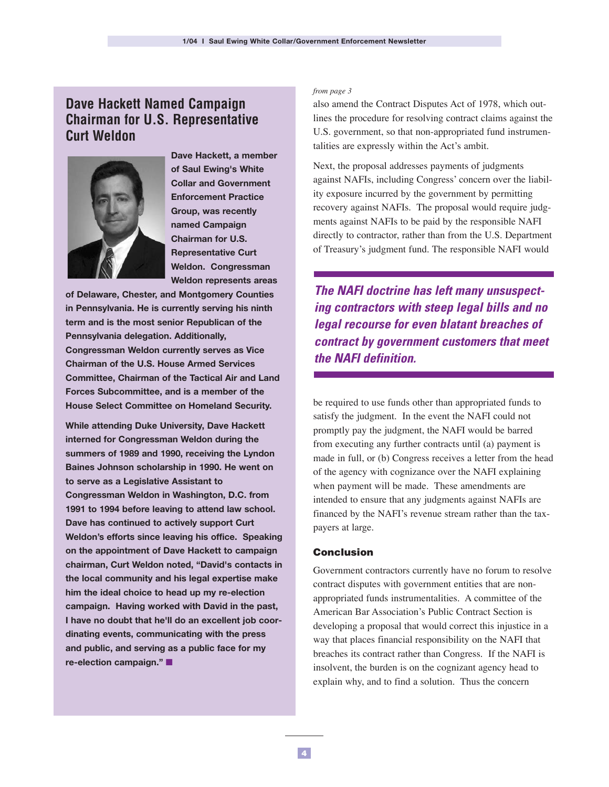## **Dave Hackett Named Campaign Chairman for U.S. Representative Curt Weldon**



**Dave Hackett, a member of Saul Ewing's White Collar and Government Enforcement Practice Group, was recently named Campaign Chairman for U.S. Representative Curt Weldon. Congressman Weldon represents areas**

**of Delaware, Chester, and Montgomery Counties in Pennsylvania. He is currently serving his ninth term and is the most senior Republican of the Pennsylvania delegation. Additionally, Congressman Weldon currently serves as Vice Chairman of the U.S. House Armed Services Committee, Chairman of the Tactical Air and Land Forces Subcommittee, and is a member of the House Select Committee on Homeland Security.**

**While attending Duke University, Dave Hackett interned for Congressman Weldon during the summers of 1989 and 1990, receiving the Lyndon Baines Johnson scholarship in 1990. He went on to serve as a Legislative Assistant to Congressman Weldon in Washington, D.C. from 1991 to 1994 before leaving to attend law school. Dave has continued to actively support Curt Weldon's efforts since leaving his office. Speaking on the appointment of Dave Hackett to campaign chairman, Curt Weldon noted, "David's contacts in the local community and his legal expertise make him the ideal choice to head up my re-election campaign. Having worked with David in the past, I have no doubt that he'll do an excellent job coordinating events, communicating with the press and public, and serving as a public face for my re-election campaign."** ■

#### *from page 3*

also amend the Contract Disputes Act of 1978, which outlines the procedure for resolving contract claims against the U.S. government, so that non-appropriated fund instrumentalities are expressly within the Act's ambit.

Next, the proposal addresses payments of judgments against NAFIs, including Congress' concern over the liability exposure incurred by the government by permitting recovery against NAFIs. The proposal would require judgments against NAFIs to be paid by the responsible NAFI directly to contractor, rather than from the U.S. Department of Treasury's judgment fund. The responsible NAFI would

**The NAFI doctrine has left many unsuspecting contractors with steep legal bills and no legal recourse for even blatant breaches of contract by government customers that meet the NAFI definition.** 

be required to use funds other than appropriated funds to satisfy the judgment. In the event the NAFI could not promptly pay the judgment, the NAFI would be barred from executing any further contracts until (a) payment is made in full, or (b) Congress receives a letter from the head of the agency with cognizance over the NAFI explaining when payment will be made. These amendments are intended to ensure that any judgments against NAFIs are financed by the NAFI's revenue stream rather than the taxpayers at large.

### **Conclusion**

Government contractors currently have no forum to resolve contract disputes with government entities that are nonappropriated funds instrumentalities. A committee of the American Bar Association's Public Contract Section is developing a proposal that would correct this injustice in a way that places financial responsibility on the NAFI that breaches its contract rather than Congress. If the NAFI is insolvent, the burden is on the cognizant agency head to explain why, and to find a solution. Thus the concern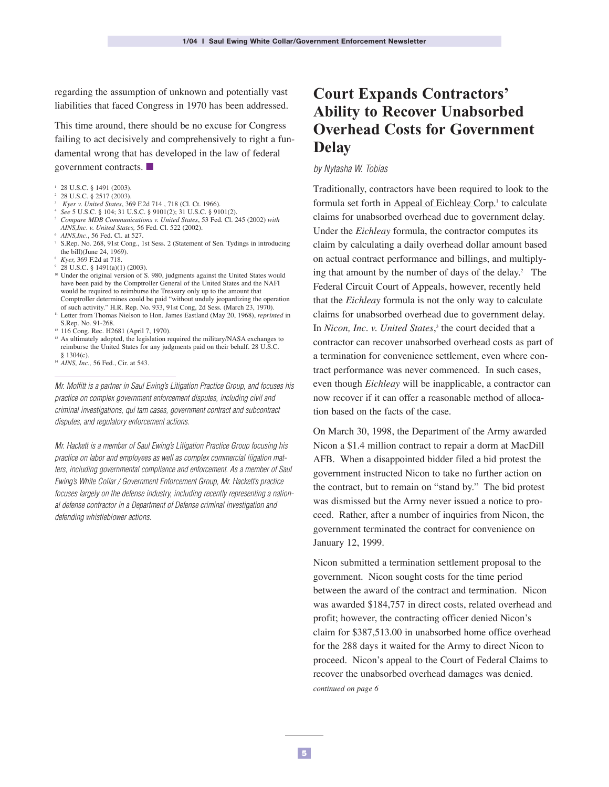regarding the assumption of unknown and potentially vast liabilities that faced Congress in 1970 has been addressed.

This time around, there should be no excuse for Congress failing to act decisively and comprehensively to right a fundamental wrong that has developed in the law of federal government contracts. ■

- <sup>1</sup> 28 U.S.C. § 1491 (2003).
- <sup>2</sup> 28 U.S.C. § 2517 (2003).
- <sup>3</sup> *Kyer v. United States*, 369 F.2d 714 , 718 (Cl. Ct. 1966).
- 
- $F_{\text{compare MDB} }$  *Communications v. United States*, 53 Fed. Cl. 245 (2002) *with AINS,Inc. v. United States,* 56 Fed. Cl. 522 (2002).
- <sup>6</sup> *AINS,Inc.*, 56 Fed. Cl. at 527.
- <sup>7</sup> S.Rep. No. 268, 91st Cong., 1st Sess. 2 (Statement of Sen. Tydings in introducing the bill)(June 24, 1969).
- <sup>8</sup> *Kyer,* 369 F.2d at 718.
- <sup>9</sup> 28 U.S.C. § 1491(a)(1) (2003).
- <sup>10</sup> Under the original version of S. 980, judgments against the United States would have been paid by the Comptroller General of the United States and the NAFI would be required to reimburse the Treasury only up to the amount that Comptroller determines could be paid "without unduly jeopardizing the operation of such activity." H.R. Rep. No. 933, 91st Cong, 2d Sess. (March 23, 1970).
- <sup>11</sup> Letter from Thomas Nielson to Hon. James Eastland (May 20, 1968), *reprinted* in S.Rep. No. 91-268.
- <sup>12</sup> 116 Cong. Rec. H2681 (April 7, 1970).
- <sup>13</sup> As ultimately adopted, the legislation required the military/NASA exchanges to reimburse the United States for any judgments paid on their behalf. 28 U.S.C. § 1304(c).
- <sup>14</sup> *AINS, Inc.,* 56 Fed., Cir. at 543.

Mr. Moffitt is a partner in Saul Ewing's Litigation Practice Group, and focuses his practice on complex government enforcement disputes, including civil and criminal investigations, qui tam cases, government contract and subcontract disputes, and regulatory enforcement actions.

Mr. Hackett is a member of Saul Ewing's Litigation Practice Group focusing his practice on labor and employees as well as complex commercial liigation matters, including governmental compliance and enforcement. As a member of Saul Ewing's White Collar / Government Enforcement Group, Mr. Hackett's practice focuses largely on the defense industry, including recently representing a national defense contractor in a Department of Defense criminal investigation and defending whistleblower actions.

# **Court Expands Contractors' Ability to Recover Unabsorbed Overhead Costs for Government Delay**

#### by Nytasha W. Tobias

Traditionally, contractors have been required to look to the formula set forth in Appeal of Eichleay Corp.<sup>1</sup> to calculate claims for unabsorbed overhead due to government delay. Under the *Eichleay* formula, the contractor computes its claim by calculating a daily overhead dollar amount based on actual contract performance and billings, and multiplying that amount by the number of days of the delay.<sup>2</sup> The Federal Circuit Court of Appeals, however, recently held that the *Eichleay* formula is not the only way to calculate claims for unabsorbed overhead due to government delay. In *Nicon, Inc. v. United States*, <sup>3</sup> the court decided that a contractor can recover unabsorbed overhead costs as part of a termination for convenience settlement, even where contract performance was never commenced. In such cases, even though *Eichleay* will be inapplicable, a contractor can now recover if it can offer a reasonable method of allocation based on the facts of the case.

On March 30, 1998, the Department of the Army awarded Nicon a \$1.4 million contract to repair a dorm at MacDill AFB. When a disappointed bidder filed a bid protest the government instructed Nicon to take no further action on the contract, but to remain on "stand by." The bid protest was dismissed but the Army never issued a notice to proceed. Rather, after a number of inquiries from Nicon, the government terminated the contract for convenience on January 12, 1999.

Nicon submitted a termination settlement proposal to the government. Nicon sought costs for the time period between the award of the contract and termination. Nicon was awarded \$184,757 in direct costs, related overhead and profit; however, the contracting officer denied Nicon's claim for \$387,513.00 in unabsorbed home office overhead for the 288 days it waited for the Army to direct Nicon to proceed. Nicon's appeal to the Court of Federal Claims to recover the unabsorbed overhead damages was denied. *continued on page 6*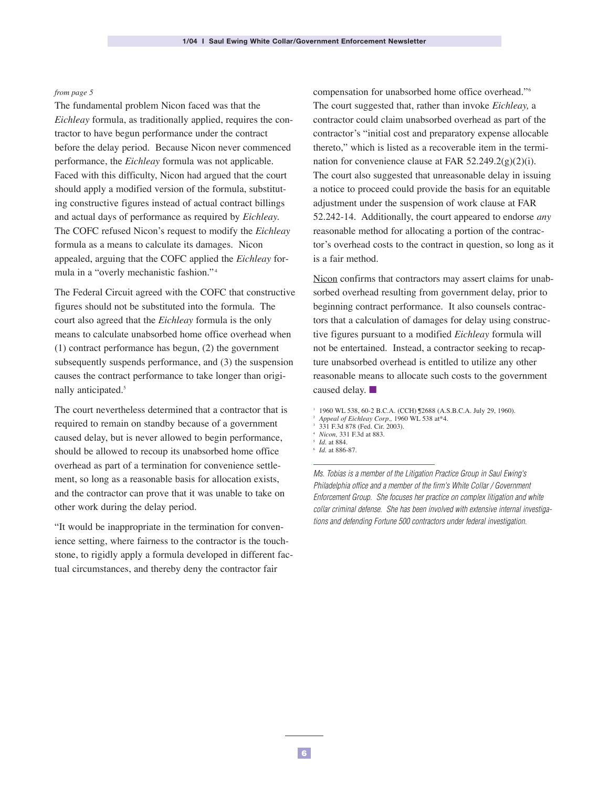#### *from page 5*

The fundamental problem Nicon faced was that the *Eichleay* formula, as traditionally applied, requires the contractor to have begun performance under the contract before the delay period. Because Nicon never commenced performance, the *Eichleay* formula was not applicable. Faced with this difficulty, Nicon had argued that the court should apply a modified version of the formula, substituting constructive figures instead of actual contract billings and actual days of performance as required by *Eichleay.* The COFC refused Nicon's request to modify the *Eichleay* formula as a means to calculate its damages. Nicon appealed, arguing that the COFC applied the *Eichleay* formula in a "overly mechanistic fashion."<sup>4</sup>

The Federal Circuit agreed with the COFC that constructive figures should not be substituted into the formula. The court also agreed that the *Eichleay* formula is the only means to calculate unabsorbed home office overhead when (1) contract performance has begun, (2) the government subsequently suspends performance, and (3) the suspension causes the contract performance to take longer than originally anticipated.<sup>5</sup>

The court nevertheless determined that a contractor that is required to remain on standby because of a government caused delay, but is never allowed to begin performance, should be allowed to recoup its unabsorbed home office overhead as part of a termination for convenience settlement, so long as a reasonable basis for allocation exists, and the contractor can prove that it was unable to take on other work during the delay period.

"It would be inappropriate in the termination for convenience setting, where fairness to the contractor is the touchstone, to rigidly apply a formula developed in different factual circumstances, and thereby deny the contractor fair

compensation for unabsorbed home office overhead."6 The court suggested that, rather than invoke *Eichleay,* a contractor could claim unabsorbed overhead as part of the contractor's "initial cost and preparatory expense allocable thereto," which is listed as a recoverable item in the termination for convenience clause at FAR  $52.249.2(g)(2)(i)$ . The court also suggested that unreasonable delay in issuing a notice to proceed could provide the basis for an equitable adjustment under the suspension of work clause at FAR 52.242-14. Additionally, the court appeared to endorse *any* reasonable method for allocating a portion of the contractor's overhead costs to the contract in question, so long as it is a fair method.

Nicon confirms that contractors may assert claims for unabsorbed overhead resulting from government delay, prior to beginning contract performance. It also counsels contractors that a calculation of damages for delay using constructive figures pursuant to a modified *Eichleay* formula will not be entertained. Instead, a contractor seeking to recapture unabsorbed overhead is entitled to utilize any other reasonable means to allocate such costs to the government caused delay. ■

- <sup>2</sup> *Appeal of Eichleay Corp.,* 1960 WL 538 at\*4.
- <sup>3</sup> 331 F.3d 878 (Fed. Cir. 2003). <sup>4</sup> *Nicon,* 331 F.3d at 883.
- 
- $\frac{5}{6}$  *Id.* at 884. *Id.* at 886-87

Ms. Tobias is a member of the Litigation Practice Group in Saul Ewing's Philadelphia office and a member of the firm's White Collar / Government Enforcement Group. She focuses her practice on complex litigation and white collar criminal defense. She has been involved with extensive internal investigations and defending Fortune 500 contractors under federal investigation.

<sup>1</sup> 1960 WL 538, 60-2 B.C.A. (CCH) ¶2688 (A.S.B.C.A. July 29, 1960).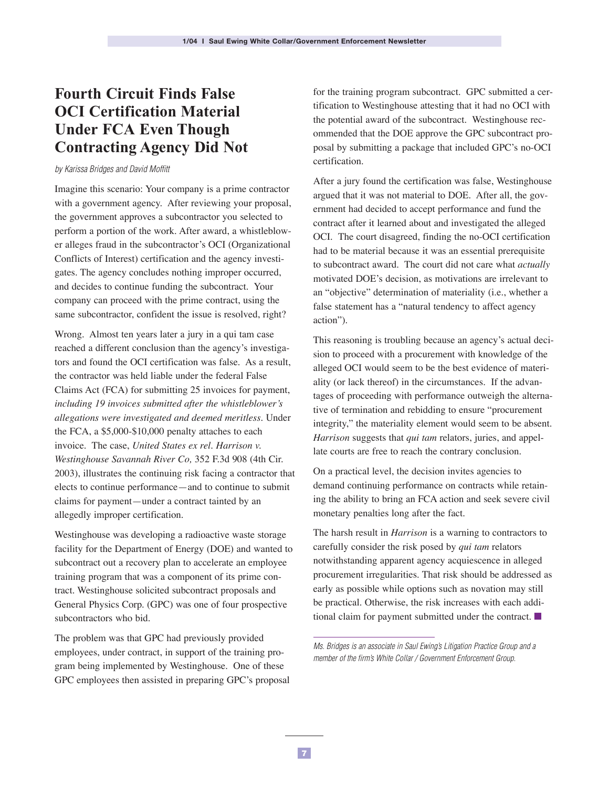# **Fourth Circuit Finds False OCI Certification Material Under FCA Even Though Contracting Agency Did Not**

by Karissa Bridges and David Moffitt

Imagine this scenario: Your company is a prime contractor with a government agency. After reviewing your proposal, the government approves a subcontractor you selected to perform a portion of the work. After award, a whistleblower alleges fraud in the subcontractor's OCI (Organizational Conflicts of Interest) certification and the agency investigates. The agency concludes nothing improper occurred, and decides to continue funding the subcontract. Your company can proceed with the prime contract, using the same subcontractor, confident the issue is resolved, right?

Wrong. Almost ten years later a jury in a qui tam case reached a different conclusion than the agency's investigators and found the OCI certification was false. As a result, the contractor was held liable under the federal False Claims Act (FCA) for submitting 25 invoices for payment, *including 19 invoices submitted after the whistleblower's allegations were investigated and deemed meritless.* Under the FCA, a \$5,000-\$10,000 penalty attaches to each invoice. The case, *United States ex rel. Harrison v. Westinghouse Savannah River Co,* 352 F.3d 908 (4th Cir. 2003), illustrates the continuing risk facing a contractor that elects to continue performance—and to continue to submit claims for payment—under a contract tainted by an allegedly improper certification.

Westinghouse was developing a radioactive waste storage facility for the Department of Energy (DOE) and wanted to subcontract out a recovery plan to accelerate an employee training program that was a component of its prime contract. Westinghouse solicited subcontract proposals and General Physics Corp. (GPC) was one of four prospective subcontractors who bid.

The problem was that GPC had previously provided employees, under contract, in support of the training program being implemented by Westinghouse. One of these GPC employees then assisted in preparing GPC's proposal for the training program subcontract. GPC submitted a certification to Westinghouse attesting that it had no OCI with the potential award of the subcontract. Westinghouse recommended that the DOE approve the GPC subcontract proposal by submitting a package that included GPC's no-OCI certification.

After a jury found the certification was false, Westinghouse argued that it was not material to DOE. After all, the government had decided to accept performance and fund the contract after it learned about and investigated the alleged OCI. The court disagreed, finding the no-OCI certification had to be material because it was an essential prerequisite to subcontract award. The court did not care what *actually* motivated DOE's decision, as motivations are irrelevant to an "objective" determination of materiality (i.e., whether a false statement has a "natural tendency to affect agency action").

This reasoning is troubling because an agency's actual decision to proceed with a procurement with knowledge of the alleged OCI would seem to be the best evidence of materiality (or lack thereof) in the circumstances. If the advantages of proceeding with performance outweigh the alternative of termination and rebidding to ensure "procurement integrity," the materiality element would seem to be absent. *Harrison* suggests that *qui tam* relators, juries, and appellate courts are free to reach the contrary conclusion.

On a practical level, the decision invites agencies to demand continuing performance on contracts while retaining the ability to bring an FCA action and seek severe civil monetary penalties long after the fact.

The harsh result in *Harrison* is a warning to contractors to carefully consider the risk posed by *qui tam* relators notwithstanding apparent agency acquiescence in alleged procurement irregularities. That risk should be addressed as early as possible while options such as novation may still be practical. Otherwise, the risk increases with each additional claim for payment submitted under the contract. ■

Ms. Bridges is an associate in Saul Ewing's Litigation Practice Group and a member of the firm's White Collar / Government Enforcement Group.